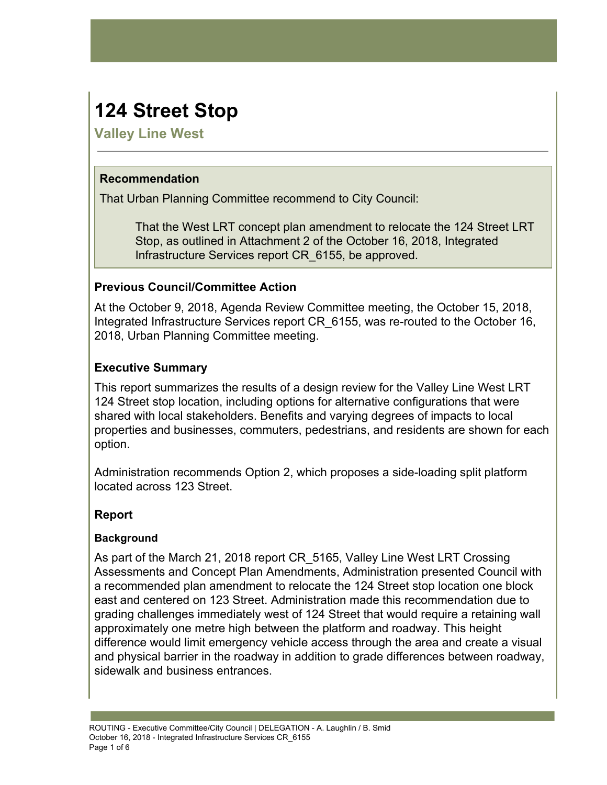# **124 Street Stop**

**Valley Line West**

## **Recommendation**

That Urban Planning Committee recommend to City Council:

That the West LRT concept plan amendment to relocate the 124 Street LRT Stop, as outlined in Attachment 2 of the October 16, 2018, Integrated Infrastructure Services report CR\_6155, be approved.

# **Previous Council/Committee Action**

At the October 9, 2018, Agenda Review Committee meeting, the October 15, 2018, Integrated Infrastructure Services report CR\_6155, was re-routed to the October 16, 2018, Urban Planning Committee meeting.

# **Executive Summary**

This report summarizes the results of a design review for the Valley Line West LRT 124 Street stop location, including options for alternative configurations that were shared with local stakeholders. Benefits and varying degrees of impacts to local properties and businesses, commuters, pedestrians, and residents are shown for each option.

Administration recommends Option 2, which proposes a side-loading split platform located across 123 Street.

# **Report**

## **Background**

As part of the March 21, 2018 report CR\_5165, Valley Line West LRT Crossing Assessments and Concept Plan Amendments, Administration presented Council with a recommended plan amendment to relocate the 124 Street stop location one block east and centered on 123 Street. Administration made this recommendation due to grading challenges immediately west of 124 Street that would require a retaining wall approximately one metre high between the platform and roadway. This height difference would limit emergency vehicle access through the area and create a visual and physical barrier in the roadway in addition to grade differences between roadway, sidewalk and business entrances.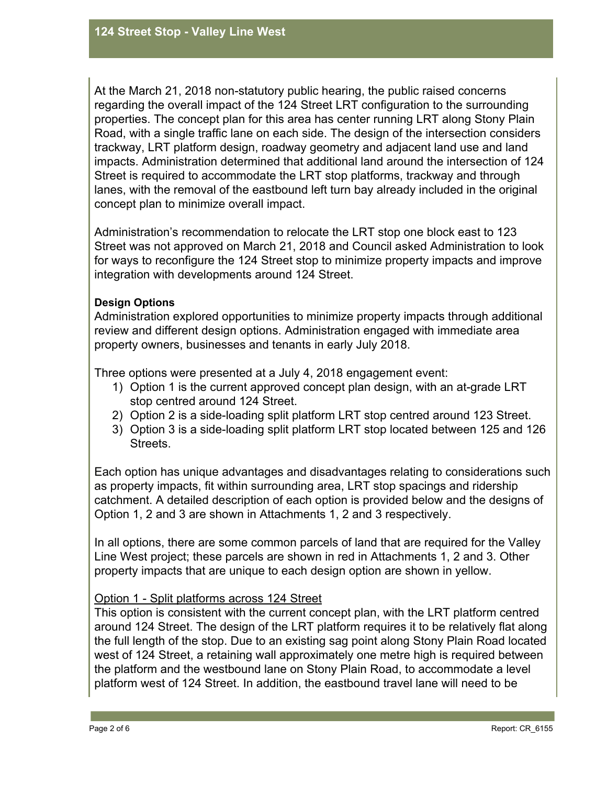At the March 21, 2018 non-statutory public hearing, the public raised concerns regarding the overall impact of the 124 Street LRT configuration to the surrounding properties. The concept plan for this area has center running LRT along Stony Plain Road, with a single traffic lane on each side. The design of the intersection considers trackway, LRT platform design, roadway geometry and adjacent land use and land impacts. Administration determined that additional land around the intersection of 124 Street is required to accommodate the LRT stop platforms, trackway and through lanes, with the removal of the eastbound left turn bay already included in the original concept plan to minimize overall impact.

Administration's recommendation to relocate the LRT stop one block east to 123 Street was not approved on March 21, 2018 and Council asked Administration to look for ways to reconfigure the 124 Street stop to minimize property impacts and improve integration with developments around 124 Street.

#### **Design Options**

Administration explored opportunities to minimize property impacts through additional review and different design options. Administration engaged with immediate area property owners, businesses and tenants in early July 2018.

Three options were presented at a July 4, 2018 engagement event:

- 1) Option 1 is the current approved concept plan design, with an at-grade LRT stop centred around 124 Street.
- 2) Option 2 is a side-loading split platform LRT stop centred around 123 Street.
- 3) Option 3 is a side-loading split platform LRT stop located between 125 and 126 Streets.

Each option has unique advantages and disadvantages relating to considerations such as property impacts, fit within surrounding area, LRT stop spacings and ridership catchment. A detailed description of each option is provided below and the designs of Option 1, 2 and 3 are shown in Attachments 1, 2 and 3 respectively.

In all options, there are some common parcels of land that are required for the Valley Line West project; these parcels are shown in red in Attachments 1, 2 and 3. Other property impacts that are unique to each design option are shown in yellow.

## Option 1 - Split platforms across 124 Street

This option is consistent with the current concept plan, with the LRT platform centred around 124 Street. The design of the LRT platform requires it to be relatively flat along the full length of the stop. Due to an existing sag point along Stony Plain Road located west of 124 Street, a retaining wall approximately one metre high is required between the platform and the westbound lane on Stony Plain Road, to accommodate a level platform west of 124 Street. In addition, the eastbound travel lane will need to be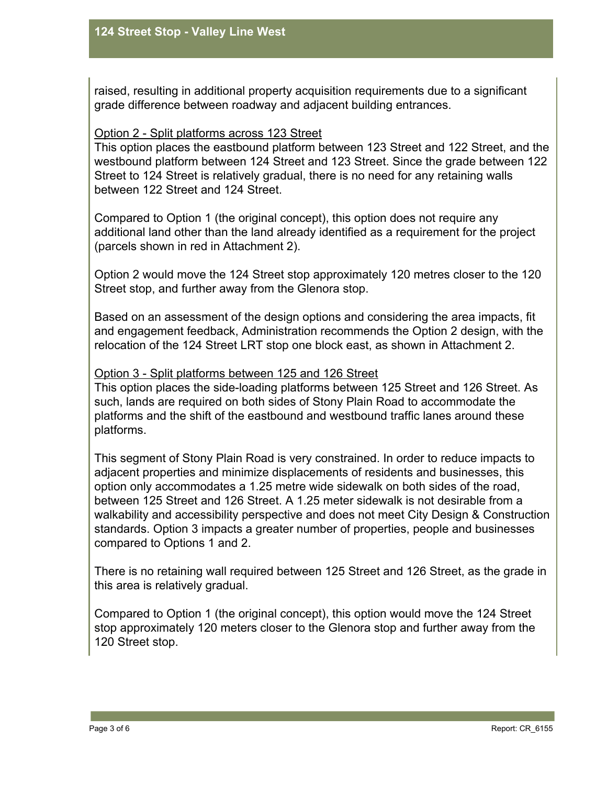raised, resulting in additional property acquisition requirements due to a significant grade difference between roadway and adjacent building entrances.

#### Option 2 - Split platforms across 123 Street

This option places the eastbound platform between 123 Street and 122 Street, and the westbound platform between 124 Street and 123 Street. Since the grade between 122 Street to 124 Street is relatively gradual, there is no need for any retaining walls between 122 Street and 124 Street.

Compared to Option 1 (the original concept), this option does not require any additional land other than the land already identified as a requirement for the project (parcels shown in red in Attachment 2).

Option 2 would move the 124 Street stop approximately 120 metres closer to the 120 Street stop, and further away from the Glenora stop.

Based on an assessment of the design options and considering the area impacts, fit and engagement feedback, Administration recommends the Option 2 design, with the relocation of the 124 Street LRT stop one block east, as shown in Attachment 2.

#### Option 3 - Split platforms between 125 and 126 Street

This option places the side-loading platforms between 125 Street and 126 Street. As such, lands are required on both sides of Stony Plain Road to accommodate the platforms and the shift of the eastbound and westbound traffic lanes around these platforms.

This segment of Stony Plain Road is very constrained. In order to reduce impacts to adjacent properties and minimize displacements of residents and businesses, this option only accommodates a 1.25 metre wide sidewalk on both sides of the road, between 125 Street and 126 Street. A 1.25 meter sidewalk is not desirable from a walkability and accessibility perspective and does not meet City Design & Construction standards. Option 3 impacts a greater number of properties, people and businesses compared to Options 1 and 2.

There is no retaining wall required between 125 Street and 126 Street, as the grade in this area is relatively gradual.

Compared to Option 1 (the original concept), this option would move the 124 Street stop approximately 120 meters closer to the Glenora stop and further away from the 120 Street stop.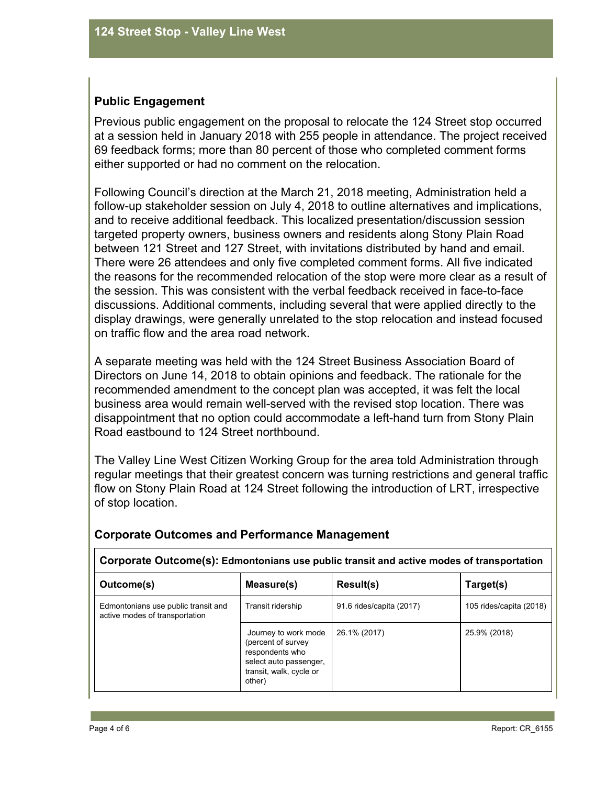## **Public Engagement**

Previous public engagement on the proposal to relocate the 124 Street stop occurred at a session held in January 2018 with 255 people in attendance. The project received 69 feedback forms; more than 80 percent of those who completed comment forms either supported or had no comment on the relocation.

Following Council's direction at the March 21, 2018 meeting, Administration held a follow-up stakeholder session on July 4, 2018 to outline alternatives and implications, and to receive additional feedback. This localized presentation/discussion session targeted property owners, business owners and residents along Stony Plain Road between 121 Street and 127 Street, with invitations distributed by hand and email. There were 26 attendees and only five completed comment forms. All five indicated the reasons for the recommended relocation of the stop were more clear as a result of the session. This was consistent with the verbal feedback received in face-to-face discussions. Additional comments, including several that were applied directly to the display drawings, were generally unrelated to the stop relocation and instead focused on traffic flow and the area road network.

A separate meeting was held with the 124 Street Business Association Board of Directors on June 14, 2018 to obtain opinions and feedback. The rationale for the recommended amendment to the concept plan was accepted, it was felt the local business area would remain well-served with the revised stop location. There was disappointment that no option could accommodate a left-hand turn from Stony Plain Road eastbound to 124 Street northbound.

The Valley Line West Citizen Working Group for the area told Administration through regular meetings that their greatest concern was turning restrictions and general traffic flow on Stony Plain Road at 124 Street following the introduction of LRT, irrespective of stop location.

| Corporate Outcome(s): Edmontonians use public transit and active modes of transportation |                                                                                                                               |                          |                         |  |  |  |
|------------------------------------------------------------------------------------------|-------------------------------------------------------------------------------------------------------------------------------|--------------------------|-------------------------|--|--|--|
| Outcome(s)                                                                               | Measure(s)                                                                                                                    | Result(s)                | Target(s)               |  |  |  |
| Edmontonians use public transit and<br>active modes of transportation                    | Transit ridership                                                                                                             | 91.6 rides/capita (2017) | 105 rides/capita (2018) |  |  |  |
|                                                                                          | Journey to work mode<br>(percent of survey)<br>respondents who<br>select auto passenger,<br>transit, walk, cycle or<br>other) | 26.1% (2017)             | 25.9% (2018)            |  |  |  |

## **Corporate Outcomes and Performance Management**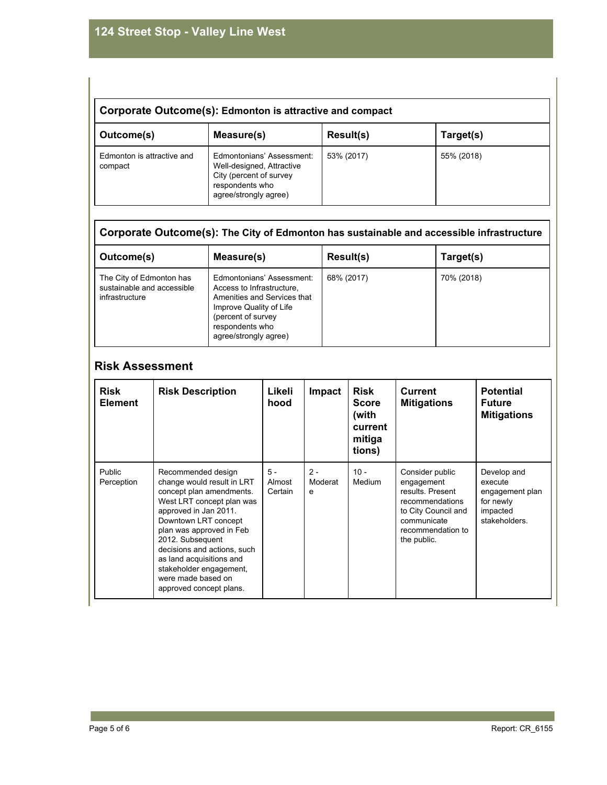| Corporate Outcome(s): Edmonton is attractive and compact |                                                                                                                               |            |            |  |  |  |
|----------------------------------------------------------|-------------------------------------------------------------------------------------------------------------------------------|------------|------------|--|--|--|
| Outcome(s)                                               | Measure(s)                                                                                                                    | Result(s)  | Target(s)  |  |  |  |
| Edmonton is attractive and<br>compact                    | Edmontonians' Assessment:<br>Well-designed, Attractive<br>City (percent of survey<br>respondents who<br>agree/strongly agree) | 53% (2017) | 55% (2018) |  |  |  |

# **Corporate Outcome(s): The City of Edmonton has sustainable and accessible infrastructure**

| Outcome(s)                                                               | Measure(s)                                                                                                                                                                         | Result(s)  | Target(s)  |
|--------------------------------------------------------------------------|------------------------------------------------------------------------------------------------------------------------------------------------------------------------------------|------------|------------|
| The City of Edmonton has<br>sustainable and accessible<br>infrastructure | Edmontonians' Assessment:<br>Access to Infrastructure.<br>Amenities and Services that<br>Improve Quality of Life<br>(percent of survey<br>respondents who<br>agree/strongly agree) | 68% (2017) | 70% (2018) |

# **Risk Assessment**

| <b>Risk</b><br><b>Element</b> | <b>Risk Description</b>                                                                                                                                                                                                                                                                                                                           | Likeli<br>hood             | Impact                | <b>Risk</b><br><b>Score</b><br>(with<br>current<br>mitiga<br>tions) | <b>Current</b><br><b>Mitigations</b>                                                                                                           | <b>Potential</b><br><b>Future</b><br><b>Mitigations</b>                             |
|-------------------------------|---------------------------------------------------------------------------------------------------------------------------------------------------------------------------------------------------------------------------------------------------------------------------------------------------------------------------------------------------|----------------------------|-----------------------|---------------------------------------------------------------------|------------------------------------------------------------------------------------------------------------------------------------------------|-------------------------------------------------------------------------------------|
| Public<br>Perception          | Recommended design<br>change would result in LRT<br>concept plan amendments.<br>West LRT concept plan was<br>approved in Jan 2011.<br>Downtown LRT concept<br>plan was approved in Feb<br>2012. Subsequent<br>decisions and actions, such<br>as land acquisitions and<br>stakeholder engagement,<br>were made based on<br>approved concept plans. | $5 -$<br>Almost<br>Certain | $2 -$<br>Moderat<br>e | $10 -$<br><b>Medium</b>                                             | Consider public<br>engagement<br>results. Present<br>recommendations<br>to City Council and<br>communicate<br>recommendation to<br>the public. | Develop and<br>execute<br>engagement plan<br>for newly<br>impacted<br>stakeholders. |